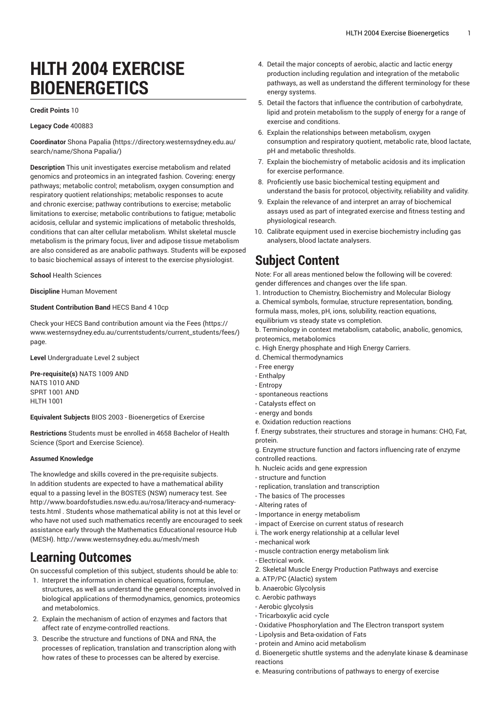# **HLTH 2004 EXERCISE BIOENERGETICS**

#### **Credit Points** 10

#### **Legacy Code** 400883

**Coordinator** Shona [Papalia](https://directory.westernsydney.edu.au/search/name/Shona Papalia/) ([https://directory.westernsydney.edu.au/](https://directory.westernsydney.edu.au/search/name/Shona Papalia/) [search/name/Shona](https://directory.westernsydney.edu.au/search/name/Shona Papalia/) Papalia/)

**Description** This unit investigates exercise metabolism and related genomics and proteomics in an integrated fashion. Covering: energy pathways; metabolic control; metabolism, oxygen consumption and respiratory quotient relationships; metabolic responses to acute and chronic exercise; pathway contributions to exercise; metabolic limitations to exercise; metabolic contributions to fatigue; metabolic acidosis, cellular and systemic implications of metabolic thresholds, conditions that can alter cellular metabolism. Whilst skeletal muscle metabolism is the primary focus, liver and adipose tissue metabolism are also considered as are anabolic pathways. Students will be exposed to basic biochemical assays of interest to the exercise physiologist.

#### **School** Health Sciences

**Discipline** Human Movement

#### **Student Contribution Band** HECS Band 4 10cp

Check your HECS Band contribution amount via the [Fees \(https://](https://www.westernsydney.edu.au/currentstudents/current_students/fees/) [www.westernsydney.edu.au/currentstudents/current\\_students/fees/\)](https://www.westernsydney.edu.au/currentstudents/current_students/fees/) page.

**Level** Undergraduate Level 2 subject

**Pre-requisite(s)** [NATS](/search/?P=NATS%201009) 1009 AND [NATS](/search/?P=NATS%201010) 1010 AND [SPRT](/search/?P=SPRT%201001) 1001 AND [HLTH](/search/?P=HLTH%201001) 1001

**Equivalent Subjects** BIOS 2003 - Bioenergetics of Exercise

**Restrictions** Students must be enrolled in 4658 Bachelor of Health Science (Sport and Exercise Science).

#### **Assumed Knowledge**

The knowledge and skills covered in the pre-requisite subjects. In addition students are expected to have a mathematical ability equal to a passing level in the BOSTES (NSW) numeracy test. See http://www.boardofstudies.nsw.edu.au/rosa/literacy-and-numeracytests.html . Students whose mathematical ability is not at this level or who have not used such mathematics recently are encouraged to seek assistance early through the Mathematics Educational resource Hub (MESH). http://www.westernsydney.edu.au/mesh/mesh

# **Learning Outcomes**

On successful completion of this subject, students should be able to:

- 1. Interpret the information in chemical equations, formulae, structures, as well as understand the general concepts involved in biological applications of thermodynamics, genomics, proteomics and metabolomics.
- 2. Explain the mechanism of action of enzymes and factors that affect rate of enzyme-controlled reactions.
- 3. Describe the structure and functions of DNA and RNA, the processes of replication, translation and transcription along with how rates of these to processes can be altered by exercise.
- 4. Detail the major concepts of aerobic, alactic and lactic energy production including regulation and integration of the metabolic pathways, as well as understand the different terminology for these energy systems.
- 5. Detail the factors that influence the contribution of carbohydrate, lipid and protein metabolism to the supply of energy for a range of exercise and conditions.
- 6. Explain the relationships between metabolism, oxygen consumption and respiratory quotient, metabolic rate, blood lactate, pH and metabolic thresholds.
- 7. Explain the biochemistry of metabolic acidosis and its implication for exercise performance.
- 8. Proficiently use basic biochemical testing equipment and understand the basis for protocol, objectivity, reliability and validity.
- 9. Explain the relevance of and interpret an array of biochemical assays used as part of integrated exercise and fitness testing and physiological research.
- 10. Calibrate equipment used in exercise biochemistry including gas analysers, blood lactate analysers.

# **Subject Content**

Note: For all areas mentioned below the following will be covered: gender differences and changes over the life span.

1. Introduction to Chemistry, Biochemistry and Molecular Biology a. Chemical symbols, formulae, structure representation, bonding, formula mass, moles, pH, ions, solubility, reaction equations,

equilibrium vs steady state vs completion.

b. Terminology in context metabolism, catabolic, anabolic, genomics, proteomics, metabolomics

- c. High Energy phosphate and High Energy Carriers.
- d. Chemical thermodynamics
- Free energy
- Enthalpy
- Entropy
- spontaneous reactions
- Catalysts effect on
- energy and bonds
- e. Oxidation reduction reactions

f. Energy substrates, their structures and storage in humans: CHO, Fat, protein.

g. Enzyme structure function and factors influencing rate of enzyme controlled reactions.

- h. Nucleic acids and gene expression
- structure and function
- replication, translation and transcription
- The basics of The processes
- Altering rates of
- Importance in energy metabolism
- impact of Exercise on current status of research
- i. The work energy relationship at a cellular level
- mechanical work
- muscle contraction energy metabolism link
- Electrical work.
- 2. Skeletal Muscle Energy Production Pathways and exercise
- a. ATP/PC (Alactic) system
- b. Anaerobic Glycolysis
- c. Aerobic pathways
- Aerobic glycolysis
- Tricarboxylic acid cycle
- Oxidative Phosphorylation and The Electron transport system
- Lipolysis and Beta-oxidation of Fats - protein and Amino acid metabolism

d. Bioenergetic shuttle systems and the adenylate kinase & deaminase reactions

e. Measuring contributions of pathways to energy of exercise